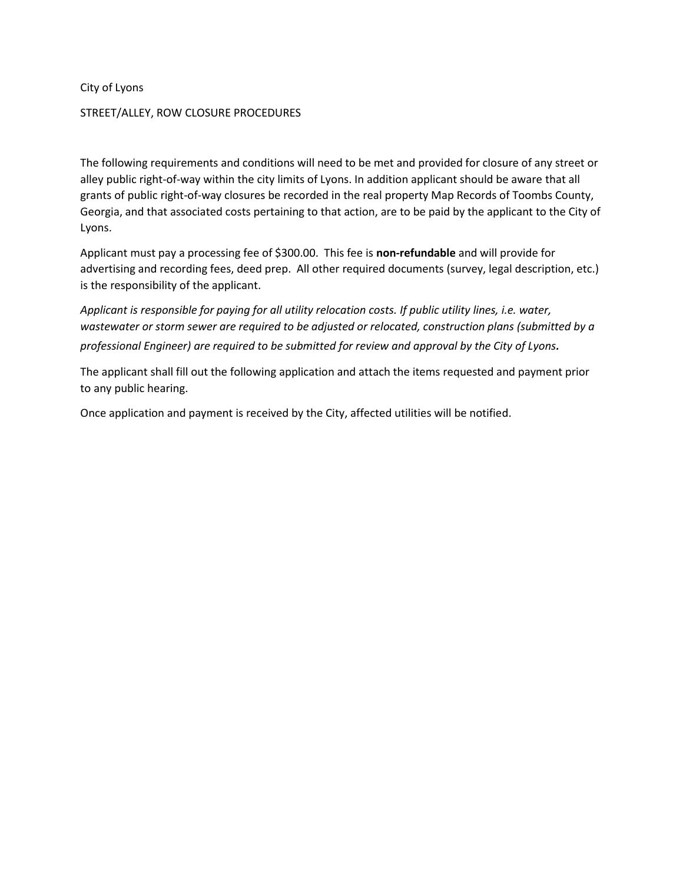City of Lyons

## STREET/ALLEY, ROW CLOSURE PROCEDURES

The following requirements and conditions will need to be met and provided for closure of any street or alley public right-of-way within the city limits of Lyons. In addition applicant should be aware that all grants of public right-of-way closures be recorded in the real property Map Records of Toombs County, Georgia, and that associated costs pertaining to that action, are to be paid by the applicant to the City of Lyons.

Applicant must pay a processing fee of \$300.00. This fee is **non-refundable** and will provide for advertising and recording fees, deed prep. All other required documents (survey, legal description, etc.) is the responsibility of the applicant.

*Applicant is responsible for paying for all utility relocation costs. If public utility lines, i.e. water, wastewater or storm sewer are required to be adjusted or relocated, construction plans (submitted by a professional Engineer) are required to be submitted for review and approval by the City of Lyons.*

The applicant shall fill out the following application and attach the items requested and payment prior to any public hearing.

Once application and payment is received by the City, affected utilities will be notified.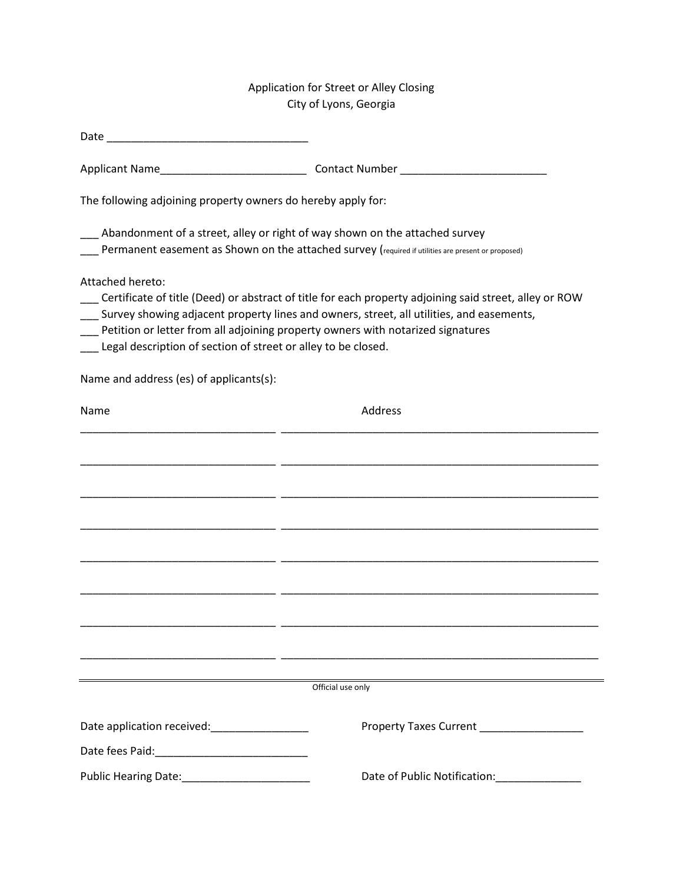## Application for Street or Alley Closing City of Lyons, Georgia

| The following adjoining property owners do hereby apply for:                         |                                                                                                                                                                                                                                                                                       |
|--------------------------------------------------------------------------------------|---------------------------------------------------------------------------------------------------------------------------------------------------------------------------------------------------------------------------------------------------------------------------------------|
|                                                                                      | Abandonment of a street, alley or right of way shown on the attached survey<br>Permanent easement as Shown on the attached survey (required if utilities are present or proposed)                                                                                                     |
| Attached hereto:<br>__ Legal description of section of street or alley to be closed. | Certificate of title (Deed) or abstract of title for each property adjoining said street, alley or ROW<br>Survey showing adjacent property lines and owners, street, all utilities, and easements,<br>Petition or letter from all adjoining property owners with notarized signatures |
| Name and address (es) of applicants(s):                                              |                                                                                                                                                                                                                                                                                       |
| Name                                                                                 | Address                                                                                                                                                                                                                                                                               |
|                                                                                      |                                                                                                                                                                                                                                                                                       |
|                                                                                      |                                                                                                                                                                                                                                                                                       |
|                                                                                      |                                                                                                                                                                                                                                                                                       |
|                                                                                      |                                                                                                                                                                                                                                                                                       |
|                                                                                      |                                                                                                                                                                                                                                                                                       |
|                                                                                      |                                                                                                                                                                                                                                                                                       |
|                                                                                      |                                                                                                                                                                                                                                                                                       |
|                                                                                      |                                                                                                                                                                                                                                                                                       |
|                                                                                      | Official use only                                                                                                                                                                                                                                                                     |
| Date application received: Date application received:                                | Property Taxes Current __________________                                                                                                                                                                                                                                             |
|                                                                                      |                                                                                                                                                                                                                                                                                       |
|                                                                                      | Date of Public Notification: National Contract of Public Notification:                                                                                                                                                                                                                |